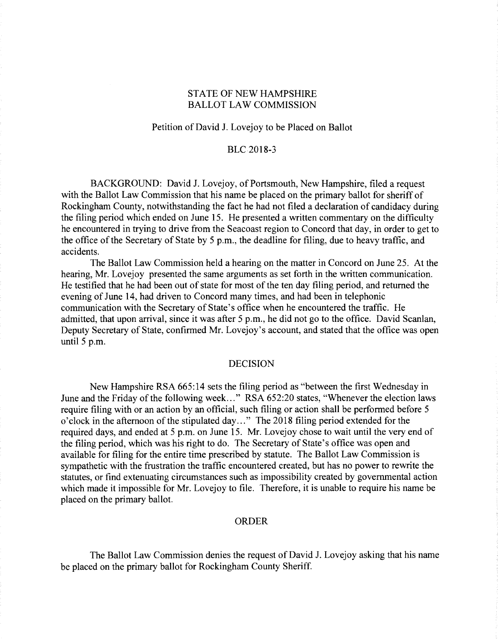# STATE OF NEW HAMPSHIRE BALLOT LAW COMMISSION

## Petition of David J. Lovejoy to be Placed on Ballot

# BLC2018-3

BACKGROUND: David J. Lovejoy, of Portsmouth, New Hampshire, filed a request with the Ballot Law Commission that his name be placed on the primary ballot for sheriff of Rockingham County, notwithstanding the fact he had not filed a declaration of candidacy during the filing period which ended on June 15. He presented a written commentary on the difficulty he encountered in trying to drive from the Seacoast region to Concord that day, in order to get to the office of the Secretary of State by 5 p.m., the deadline for filing, due to heavy traffic, and accidents.

The Ballot Law Commission held a hearing on the matter in Concord on June 25. At the hearing, Mr. Lovejoy presented the same arguments as set forth in the written communication. He testified that he had been out of state for most of the ten day filing period, and returned the evening of June 14, had driven to Concord many times, and had been in telephonic communication with the Secretary of State's office when he encountered the traffic. He admitted, that upon arrival, since it was after 5 p.m., he did not go to the office. David Scanlan, Deputy Secretary of State, confirmed Mr. Lovejoy's account, and stated that the office was open until  $5$  p.m.

#### DECISION

New Hampshire RSA 665:14 sets the filing period as "between the first Wednesday in June and the Friday of the following week..." RSA 652:20 states, "Whenever the election laws require filing with or an action by an official, such filing or action shall be performed before 5 o'clock in the afternoon of the stipulated day..." The 2018 filing period extended for the required days, and ended at 5 p.m. on June 15. Mr. Lovejoy chose to wait until the very end of the filing period, which was his right to do. The Secretary of State's office was open and available for filing for the entire time prescribed by statute. The Ballot Law Commission is sympathetic with the frustration the traffic encountered created, but has no power to rewrite the statutes, or find extenuating circumstances such as impossibility created by governmental action which made it impossible for Mr. Lovejoy to file. Therefore, it is unable to require his name be placed on the primary ballot.

## ORDER

The Ballot Law Commission denies the request of David J. Lovejoy asking that his name be placed on the primary ballot for Rockingham County Sheriff.